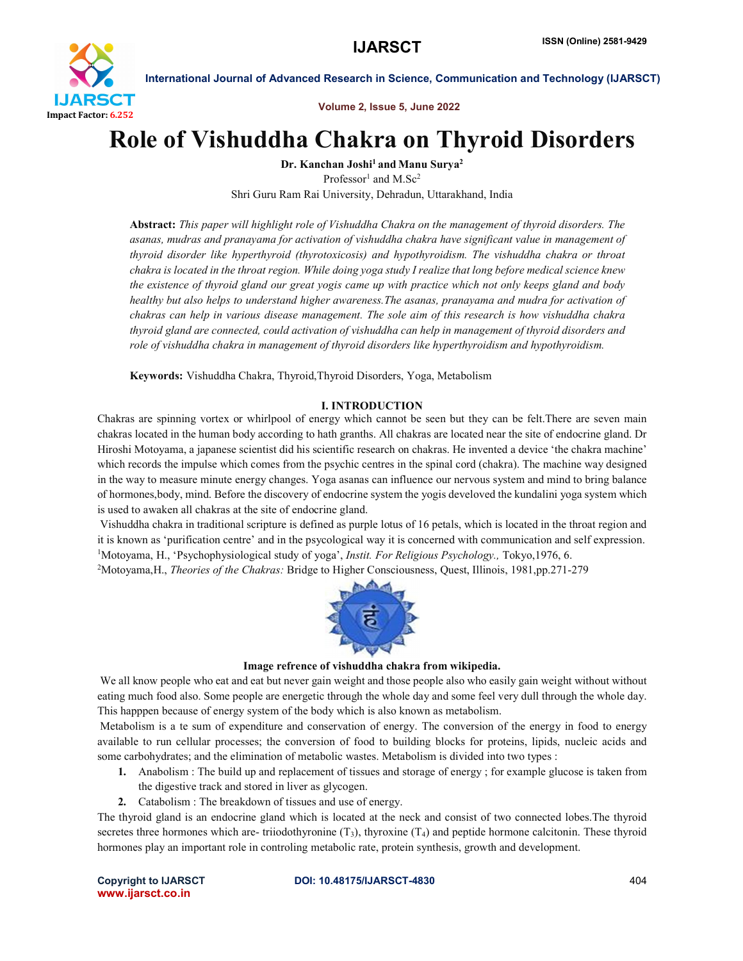

Volume 2, Issue 5, June 2022

## Role of Vishuddha Chakra on Thyroid Disorders

Dr. Kanchan Joshi<sup>1</sup> and Manu Surya<sup>2</sup>

Professor<sup>1</sup> and M.Sc<sup>2</sup> Shri Guru Ram Rai University, Dehradun, Uttarakhand, India

Abstract: *This paper will highlight role of Vishuddha Chakra on the management of thyroid disorders. The asanas, mudras and pranayama for activation of vishuddha chakra have significant value in management of thyroid disorder like hyperthyroid (thyrotoxicosis) and hypothyroidism. The vishuddha chakra or throat chakra is located in the throat region. While doing yoga study I realize that long before medical science knew the existence of thyroid gland our great yogis came up with practice which not only keeps gland and body healthy but also helps to understand higher awareness.The asanas, pranayama and mudra for activation of chakras can help in various disease management. The sole aim of this research is how vishuddha chakra thyroid gland are connected, could activation of vishuddha can help in management of thyroid disorders and role of vishuddha chakra in management of thyroid disorders like hyperthyroidism and hypothyroidism.*

Keywords: Vishuddha Chakra, Thyroid,Thyroid Disorders, Yoga, Metabolism

### I. INTRODUCTION

Chakras are spinning vortex or whirlpool of energy which cannot be seen but they can be felt.There are seven main chakras located in the human body according to hath granths. All chakras are located near the site of endocrine gland. Dr Hiroshi Motoyama, a japanese scientist did his scientific research on chakras. He invented a device 'the chakra machine' which records the impulse which comes from the psychic centres in the spinal cord (chakra). The machine way designed in the way to measure minute energy changes. Yoga asanas can influence our nervous system and mind to bring balance of hormones,body, mind. Before the discovery of endocrine system the yogis develoved the kundalini yoga system which is used to awaken all chakras at the site of endocrine gland.

Vishuddha chakra in traditional scripture is defined as purple lotus of 16 petals, which is located in the throat region and it is known as 'purification centre' and in the psycological way it is concerned with communication and self expression. 1 Motoyama, H., 'Psychophysiological study of yoga', *Instit. For Religious Psychology.,* Tokyo,1976, 6. 2 Motoyama,H., *Theories of the Chakras:* Bridge to Higher Consciousness, Quest, Illinois, 1981,pp.271-279



#### Image refrence of vishuddha chakra from wikipedia.

We all know people who eat and eat but never gain weight and those people also who easily gain weight without without eating much food also. Some people are energetic through the whole day and some feel very dull through the whole day. This happpen because of energy system of the body which is also known as metabolism.

Metabolism is a te sum of expenditure and conservation of energy. The conversion of the energy in food to energy available to run cellular processes; the conversion of food to building blocks for proteins, lipids, nucleic acids and some carbohydrates; and the elimination of metabolic wastes. Metabolism is divided into two types :

- 1. Anabolism : The build up and replacement of tissues and storage of energy ; for example glucose is taken from the digestive track and stored in liver as glycogen.
- 2. Catabolism : The breakdown of tissues and use of energy.

The thyroid gland is an endocrine gland which is located at the neck and consist of two connected lobes.The thyroid secretes three hormones which are- triiodothyronine  $(T_3)$ , thyroxine  $(T_4)$  and peptide hormone calcitonin. These thyroid hormones play an important role in controling metabolic rate, protein synthesis, growth and development.

www.ijarsct.co.in

#### Copyright to IJARSCT DOI: 10.48175/IJARSCT-4830 404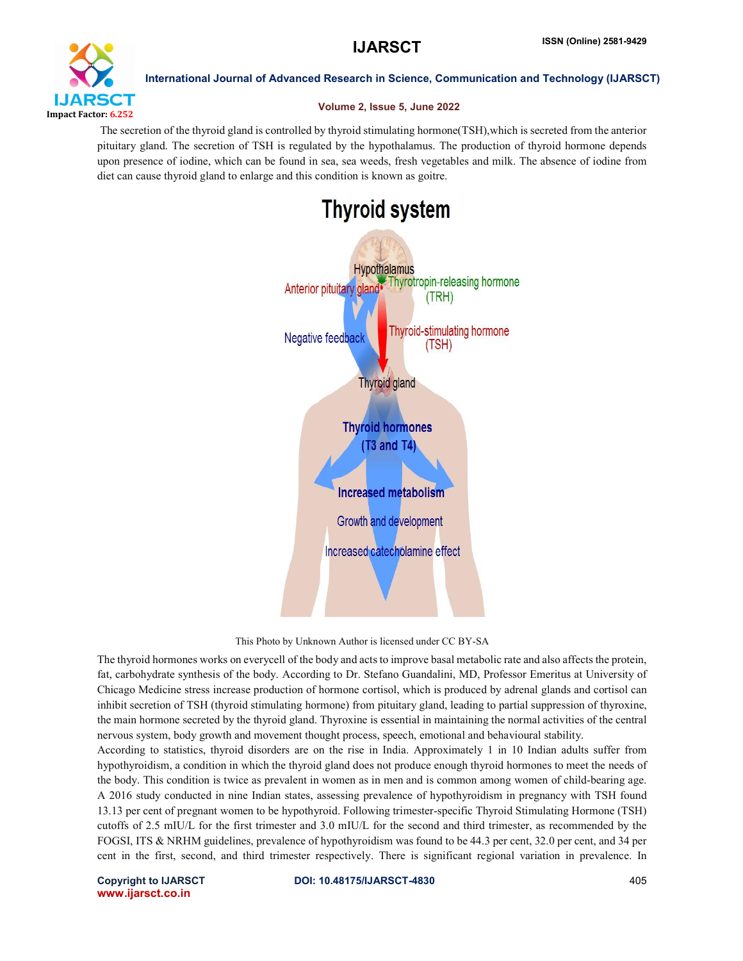

#### Volume 2, Issue 5, June 2022

The secretion of the thyroid gland is controlled by thyroid stimulating hormone(TSH),which is secreted from the anterior pituitary gland. The secretion of TSH is regulated by the hypothalamus. The production of thyroid hormone depends upon presence of iodine, which can be found in sea, sea weeds, fresh vegetables and milk. The absence of iodine from diet can cause thyroid gland to enlarge and this condition is known as goitre.

# **Thyroid system Hypothalamus** Thyrotropin-releasing hormone Anterior pituitary gland (TRH) **Thyroid-stimulating hormone** Negative feedback (TSH) **Thyroid gland Thyroid hormones** (T3 and T4) **Increased metabolism** Growth and development Increased catecholamine effect

#### This Photo by Unknown Author is licensed under CC BY-SA

The thyroid hormones works on everycell of the body and acts to improve basal metabolic rate and also affects the protein, fat, carbohydrate synthesis of the body. According to Dr. Stefano Guandalini, MD, Professor Emeritus at University of Chicago Medicine stress increase production of hormone cortisol, which is produced by adrenal glands and cortisol can inhibit secretion of TSH (thyroid stimulating hormone) from pituitary gland, leading to partial suppression of thyroxine, the main hormone secreted by the thyroid gland. Thyroxine is essential in maintaining the normal activities of the central nervous system, body growth and movement thought process, speech, emotional and behavioural stability.

According to statistics, thyroid disorders are on the rise in India. Approximately 1 in 10 Indian adults suffer from hypothyroidism, a condition in which the thyroid gland does not produce enough thyroid hormones to meet the needs of the body. This condition is twice as prevalent in women as in men and is common among women of child-bearing age. A 2016 study conducted in nine Indian states, assessing prevalence of hypothyroidism in pregnancy with TSH found 13.13 per cent of pregnant women to be hypothyroid. Following trimester-specific Thyroid Stimulating Hormone (TSH) cutoffs of 2.5 mIU/L for the first trimester and 3.0 mIU/L for the second and third trimester, as recommended by the FOGSI, ITS & NRHM guidelines, prevalence of hypothyroidism was found to be 44.3 per cent, 32.0 per cent, and 34 per cent in the first, second, and third trimester respectively. There is significant regional variation in prevalence. In

www.ijarsct.co.in

#### Copyright to IJARSCT DOI: 10.48175/IJARSCT-4830 405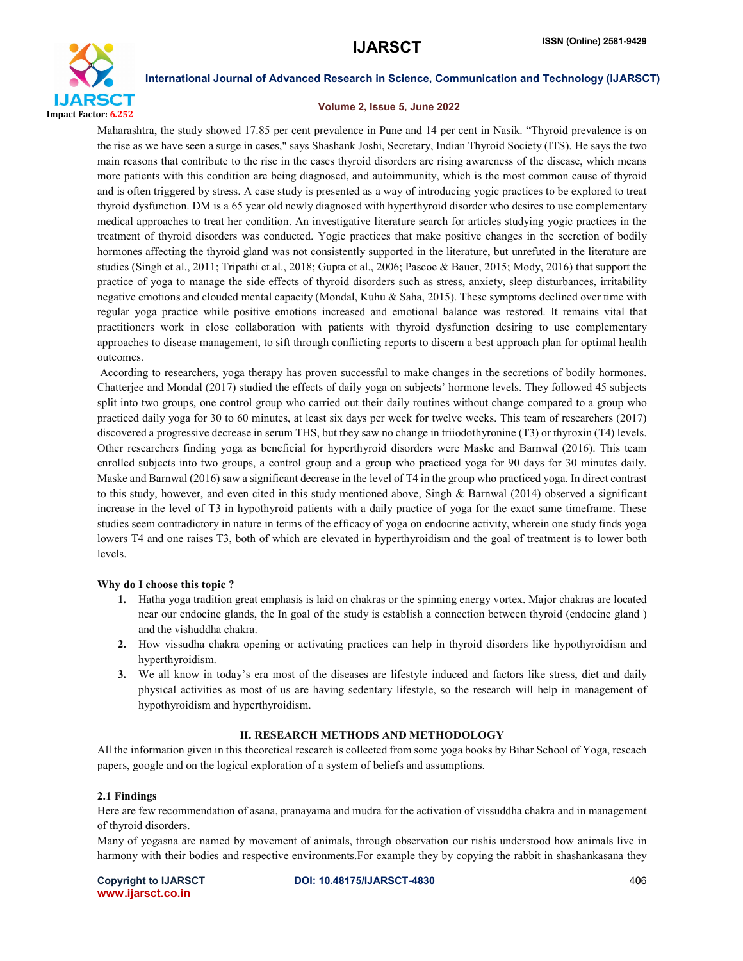

#### Volume 2, Issue 5, June 2022

Maharashtra, the study showed 17.85 per cent prevalence in Pune and 14 per cent in Nasik. "Thyroid prevalence is on the rise as we have seen a surge in cases," says Shashank Joshi, Secretary, Indian Thyroid Society (ITS). He says the two main reasons that contribute to the rise in the cases thyroid disorders are rising awareness of the disease, which means more patients with this condition are being diagnosed, and autoimmunity, which is the most common cause of thyroid and is often triggered by stress. A case study is presented as a way of introducing yogic practices to be explored to treat thyroid dysfunction. DM is a 65 year old newly diagnosed with hyperthyroid disorder who desires to use complementary medical approaches to treat her condition. An investigative literature search for articles studying yogic practices in the treatment of thyroid disorders was conducted. Yogic practices that make positive changes in the secretion of bodily hormones affecting the thyroid gland was not consistently supported in the literature, but unrefuted in the literature are studies (Singh et al., 2011; Tripathi et al., 2018; Gupta et al., 2006; Pascoe & Bauer, 2015; Mody, 2016) that support the practice of yoga to manage the side effects of thyroid disorders such as stress, anxiety, sleep disturbances, irritability negative emotions and clouded mental capacity (Mondal, Kuhu & Saha, 2015). These symptoms declined over time with regular yoga practice while positive emotions increased and emotional balance was restored. It remains vital that practitioners work in close collaboration with patients with thyroid dysfunction desiring to use complementary approaches to disease management, to sift through conflicting reports to discern a best approach plan for optimal health outcomes.

According to researchers, yoga therapy has proven successful to make changes in the secretions of bodily hormones. Chatterjee and Mondal (2017) studied the effects of daily yoga on subjects' hormone levels. They followed 45 subjects split into two groups, one control group who carried out their daily routines without change compared to a group who practiced daily yoga for 30 to 60 minutes, at least six days per week for twelve weeks. This team of researchers (2017) discovered a progressive decrease in serum THS, but they saw no change in triiodothyronine (T3) or thyroxin (T4) levels. Other researchers finding yoga as beneficial for hyperthyroid disorders were Maske and Barnwal (2016). This team enrolled subjects into two groups, a control group and a group who practiced yoga for 90 days for 30 minutes daily. Maske and Barnwal (2016) saw a significant decrease in the level of T4 in the group who practiced yoga. In direct contrast to this study, however, and even cited in this study mentioned above, Singh & Barnwal (2014) observed a significant increase in the level of T3 in hypothyroid patients with a daily practice of yoga for the exact same timeframe. These studies seem contradictory in nature in terms of the efficacy of yoga on endocrine activity, wherein one study finds yoga lowers T4 and one raises T3, both of which are elevated in hyperthyroidism and the goal of treatment is to lower both levels.

#### Why do I choose this topic ?

- 1. Hatha yoga tradition great emphasis is laid on chakras or the spinning energy vortex. Major chakras are located near our endocine glands, the In goal of the study is establish a connection between thyroid (endocine gland ) and the vishuddha chakra.
- 2. How vissudha chakra opening or activating practices can help in thyroid disorders like hypothyroidism and hyperthyroidism.
- 3. We all know in today's era most of the diseases are lifestyle induced and factors like stress, diet and daily physical activities as most of us are having sedentary lifestyle, so the research will help in management of hypothyroidism and hyperthyroidism.

#### II. RESEARCH METHODS AND METHODOLOGY

All the information given in this theoretical research is collected from some yoga books by Bihar School of Yoga, reseach papers, google and on the logical exploration of a system of beliefs and assumptions.

#### 2.1 Findings

Here are few recommendation of asana, pranayama and mudra for the activation of vissuddha chakra and in management of thyroid disorders.

Many of yogasna are named by movement of animals, through observation our rishis understood how animals live in harmony with their bodies and respective environments.For example they by copying the rabbit in shashankasana they

www.ijarsct.co.in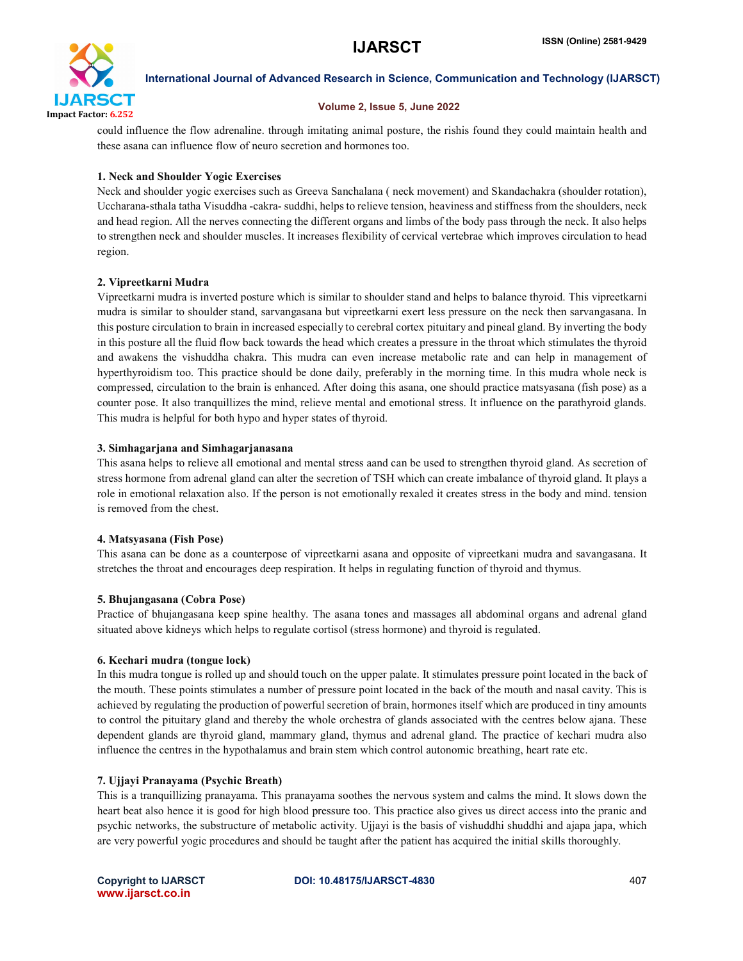

#### Volume 2, Issue 5, June 2022

could influence the flow adrenaline. through imitating animal posture, the rishis found they could maintain health and these asana can influence flow of neuro secretion and hormones too.

### 1. Neck and Shoulder Yogic Exercises

Neck and shoulder yogic exercises such as Greeva Sanchalana ( neck movement) and Skandachakra (shoulder rotation), Uccharana-sthala tatha Visuddha -cakra- suddhi, helps to relieve tension, heaviness and stiffness from the shoulders, neck and head region. All the nerves connecting the different organs and limbs of the body pass through the neck. It also helps to strengthen neck and shoulder muscles. It increases flexibility of cervical vertebrae which improves circulation to head region.

### 2. Vipreetkarni Mudra

Vipreetkarni mudra is inverted posture which is similar to shoulder stand and helps to balance thyroid. This vipreetkarni mudra is similar to shoulder stand, sarvangasana but vipreetkarni exert less pressure on the neck then sarvangasana. In this posture circulation to brain in increased especially to cerebral cortex pituitary and pineal gland. By inverting the body in this posture all the fluid flow back towards the head which creates a pressure in the throat which stimulates the thyroid and awakens the vishuddha chakra. This mudra can even increase metabolic rate and can help in management of hyperthyroidism too. This practice should be done daily, preferably in the morning time. In this mudra whole neck is compressed, circulation to the brain is enhanced. After doing this asana, one should practice matsyasana (fish pose) as a counter pose. It also tranquillizes the mind, relieve mental and emotional stress. It influence on the parathyroid glands. This mudra is helpful for both hypo and hyper states of thyroid.

#### 3. Simhagarjana and Simhagarjanasana

This asana helps to relieve all emotional and mental stress aand can be used to strengthen thyroid gland. As secretion of stress hormone from adrenal gland can alter the secretion of TSH which can create imbalance of thyroid gland. It plays a role in emotional relaxation also. If the person is not emotionally rexaled it creates stress in the body and mind. tension is removed from the chest.

#### 4. Matsyasana (Fish Pose)

This asana can be done as a counterpose of vipreetkarni asana and opposite of vipreetkani mudra and savangasana. It stretches the throat and encourages deep respiration. It helps in regulating function of thyroid and thymus.

#### 5. Bhujangasana (Cobra Pose)

Practice of bhujangasana keep spine healthy. The asana tones and massages all abdominal organs and adrenal gland situated above kidneys which helps to regulate cortisol (stress hormone) and thyroid is regulated.

#### 6. Kechari mudra (tongue lock)

In this mudra tongue is rolled up and should touch on the upper palate. It stimulates pressure point located in the back of the mouth. These points stimulates a number of pressure point located in the back of the mouth and nasal cavity. This is achieved by regulating the production of powerful secretion of brain, hormones itself which are produced in tiny amounts to control the pituitary gland and thereby the whole orchestra of glands associated with the centres below ajana. These dependent glands are thyroid gland, mammary gland, thymus and adrenal gland. The practice of kechari mudra also influence the centres in the hypothalamus and brain stem which control autonomic breathing, heart rate etc.

#### 7. Ujjayi Pranayama (Psychic Breath)

This is a tranquillizing pranayama. This pranayama soothes the nervous system and calms the mind. It slows down the heart beat also hence it is good for high blood pressure too. This practice also gives us direct access into the pranic and psychic networks, the substructure of metabolic activity. Ujjayi is the basis of vishuddhi shuddhi and ajapa japa, which are very powerful yogic procedures and should be taught after the patient has acquired the initial skills thoroughly.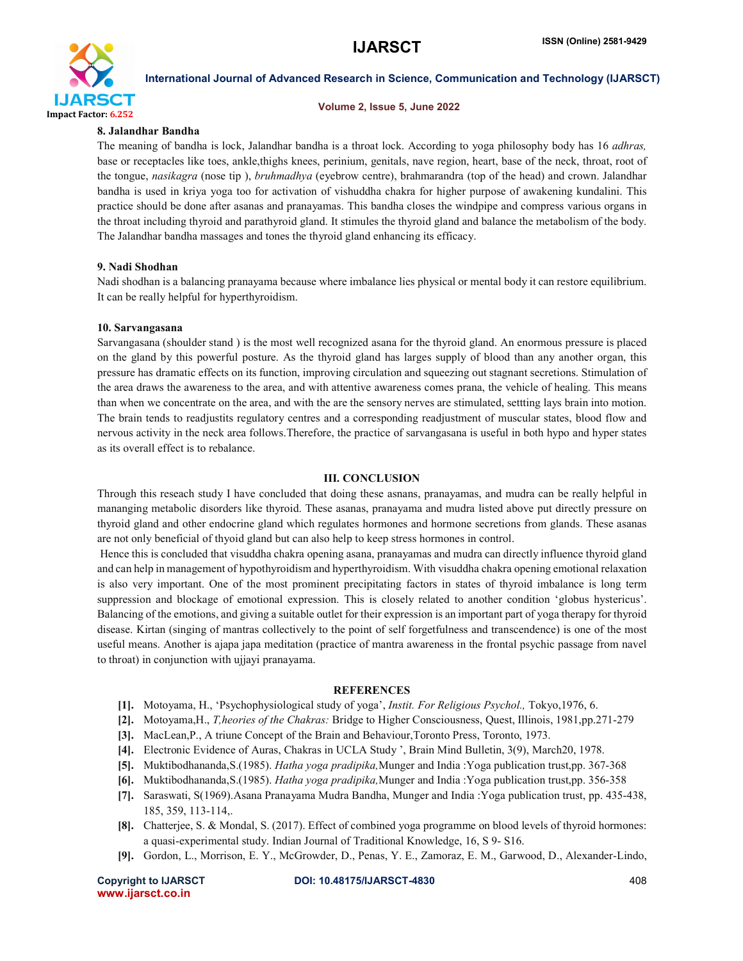

#### Volume 2, Issue 5, June 2022

#### 8. Jalandhar Bandha

The meaning of bandha is lock, Jalandhar bandha is a throat lock. According to yoga philosophy body has 16 *adhras,* base or receptacles like toes, ankle,thighs knees, perinium, genitals, nave region, heart, base of the neck, throat, root of the tongue, *nasikagra* (nose tip ), *bruhmadhya* (eyebrow centre), brahmarandra (top of the head) and crown. Jalandhar bandha is used in kriya yoga too for activation of vishuddha chakra for higher purpose of awakening kundalini. This practice should be done after asanas and pranayamas. This bandha closes the windpipe and compress various organs in the throat including thyroid and parathyroid gland. It stimules the thyroid gland and balance the metabolism of the body. The Jalandhar bandha massages and tones the thyroid gland enhancing its efficacy.

### 9. Nadi Shodhan

Nadi shodhan is a balancing pranayama because where imbalance lies physical or mental body it can restore equilibrium. It can be really helpful for hyperthyroidism.

#### 10. Sarvangasana

Sarvangasana (shoulder stand ) is the most well recognized asana for the thyroid gland. An enormous pressure is placed on the gland by this powerful posture. As the thyroid gland has larges supply of blood than any another organ, this pressure has dramatic effects on its function, improving circulation and squeezing out stagnant secretions. Stimulation of the area draws the awareness to the area, and with attentive awareness comes prana, the vehicle of healing. This means than when we concentrate on the area, and with the are the sensory nerves are stimulated, settting lays brain into motion. The brain tends to readjustits regulatory centres and a corresponding readjustment of muscular states, blood flow and nervous activity in the neck area follows.Therefore, the practice of sarvangasana is useful in both hypo and hyper states as its overall effect is to rebalance.

#### III. CONCLUSION

Through this reseach study I have concluded that doing these asnans, pranayamas, and mudra can be really helpful in mananging metabolic disorders like thyroid. These asanas, pranayama and mudra listed above put directly pressure on thyroid gland and other endocrine gland which regulates hormones and hormone secretions from glands. These asanas are not only beneficial of thyoid gland but can also help to keep stress hormones in control.

Hence this is concluded that visuddha chakra opening asana, pranayamas and mudra can directly influence thyroid gland and can help in management of hypothyroidism and hyperthyroidism. With visuddha chakra opening emotional relaxation is also very important. One of the most prominent precipitating factors in states of thyroid imbalance is long term suppression and blockage of emotional expression. This is closely related to another condition 'globus hystericus'. Balancing of the emotions, and giving a suitable outlet for their expression is an important part of yoga therapy for thyroid disease. Kirtan (singing of mantras collectively to the point of self forgetfulness and transcendence) is one of the most useful means. Another is ajapa japa meditation (practice of mantra awareness in the frontal psychic passage from navel to throat) in conjunction with ujjayi pranayama.

#### REFERENCES

- [1]. Motoyama, H., 'Psychophysiological study of yoga', *Instit. For Religious Psychol.,* Tokyo,1976, 6.
- [2]. Motoyama,H., *T,heories of the Chakras:* Bridge to Higher Consciousness, Quest, Illinois, 1981,pp.271-279
- [3]. MacLean,P., A triune Concept of the Brain and Behaviour,Toronto Press, Toronto, 1973.
- [4]. Electronic Evidence of Auras, Chakras in UCLA Study ', Brain Mind Bulletin, 3(9), March20, 1978.
- [5]. Muktibodhananda,S.(1985). *Hatha yoga pradipika,*Munger and India :Yoga publication trust,pp. 367-368
- [6]. Muktibodhananda,S.(1985). *Hatha yoga pradipika,*Munger and India :Yoga publication trust,pp. 356-358
- [7]. Saraswati, S(1969).Asana Pranayama Mudra Bandha, Munger and India :Yoga publication trust, pp. 435-438, 185, 359, 113-114,.
- [8]. Chatterjee, S. & Mondal, S. (2017). Effect of combined yoga programme on blood levels of thyroid hormones: a quasi-experimental study. Indian Journal of Traditional Knowledge, 16, S 9- S16.
- [9]. Gordon, L., Morrison, E. Y., McGrowder, D., Penas, Y. E., Zamoraz, E. M., Garwood, D., Alexander-Lindo,

www.ijarsct.co.in